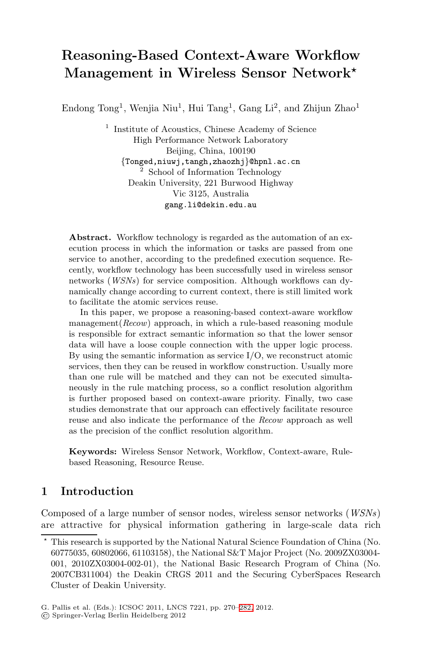# **Reasoning-Based Context-Aware Workflow Management in Wireless Sensor Network***-*

Endong Tong<sup>1</sup>, Wenjia Niu<sup>1</sup>, Hui Tang<sup>1</sup>, Gang Li<sup>2</sup>, and Zhijun Zhao<sup>1</sup>

<sup>1</sup> Institute of Acoustics, Chinese Academy of Science High Performance Network Laboratory Beijing, China, 100190 {Tonged,niuwj,tangh,zhaozhj}@hpnl.ac.cn <sup>2</sup> School of Information Technology Deakin University, 221 Burwood Highway Vic 3125, Australia gang.li@dekin.edu.au

**Abstract.** Workflow technology is regarded as the automation of an execution process in which the information or tasks are passed from one service to another, according to the predefined execution sequence. Recently, workflow technology has been successfully used in wireless sensor networks (*WSNs*) for service composition. Although workflows can dynamically change according to current context, there is still limited work to facilitate the atomic services reuse.

In this paper, we propose a reasoning-based context-aware workflow management(*Recow*) approach, in which a rule-based reasoning module is responsible for extract semantic information so that the lower sensor data will have a loose couple connection with the upper logic process. By using the semantic information as service I/O, we reconstruct atomic services, then they can be reused in workflow construction. Usually more than one rule will be matched and they can not be executed simultaneously in the rule matching process, so a conflict resolution algorithm is further proposed based on context-aware priority. Finally, two case studies demonstrate that our approach can effectively facilitate resource reuse and also indicate the performance of the *Recow* approach as well as the precision of the conflict resolution algorithm.

**Keywords:** Wireless Sensor Network, Workflow, Context-aware, Rulebased Reasoning, Resource Reuse.

# **1 Introduction**

Composed of a large numb[er o](#page-12-0)f sensor nodes, wireless sensor networks (*WSNs*) are attractive for physical information gathering in large-scale data rich

 $\star$  This research is supported by the National Natural Science Foundation of China (No. 60775035, 60802066, 61103158), the National S&T Major Project (No. 2009ZX03004- 001, 2010ZX03004-002-01), the National Basic Research Program of China (No. 2007CB311004) the Deakin CRGS 2011 and the Securing CyberSpaces Research Cluster of Deakin University.

G. Pallis et al. (Eds.): ICSOC 2011, LNCS 7221, pp. 270–282, 2012.

Springer-Verlag Berlin Heidelberg 2012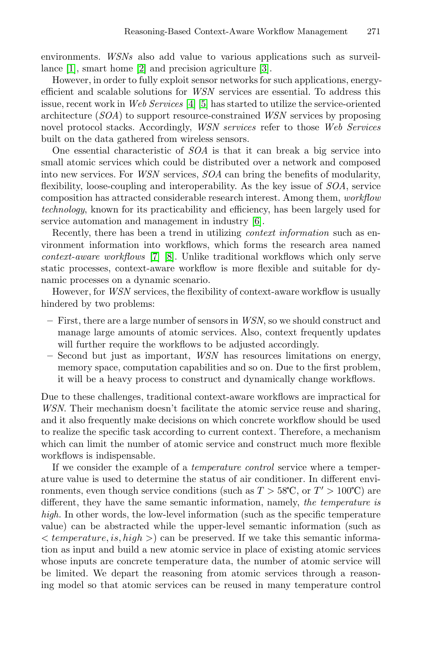environments. *WSNs* also add value to various applications such as surveillance [1], smart home [2] and precision agriculture [3].

However, in order to fully exploit sensor networks for such applications, energyefficient and scalable solutions for *WSN* services are essential. To address this issue, recent work in *Web Services* [4] [5] has started to utilize the service-oriented architecture (*SOA*) to support resource-constrained *WSN* services by proposing novel protocol stacks. Accordi[ng](#page-11-0)ly, *WSN services* refer to those *Web Services* built on the data gathered from wireless sensors.

One essential characteristic of *SOA* is that it can break a big service into small [ato](#page-11-1)[mic](#page-12-1) services which could be distributed over a network and composed into new services. For *WSN* services, *SOA* can bring the benefits of modularity, flexibility, loose-coupling and interoperability. As the key issue of *SOA*, service composition has attracted considerable research interest. Among them, *workflow technology*, known for its practicability and efficiency, has been largely used for service automation and management in industry [6].

Recently, there has been a trend in utilizing *context information* such as environment information into workflows, which forms the research area named *context-aware workflows* [7] [8]. Unlike traditional workflows which only serve static processes, context-aware workflow is more flexible and suitable for dynamic processes on a dynamic scenario.

However, for *WSN* services, the flexibility of context-aware workflow is usually hindered by two problems:

- **–** First, there are a large number of sensors in *WSN*, so we should construct and manage large amounts of atomic services. Also, context frequently updates will further require the workflows to be adjusted accordingly.
- **–** Second but just as important, *WSN* has resources limitations on energy, memory space, computation capabilities and so on. Due to the first problem, it will be a heavy process to construct and dynamically change workflows.

Due to these challenges, traditional context-aware workflows are impractical for *WSN*. Their mechanism doesn't facilitate the atomic service reuse and sharing, and it also frequently make decisions on which concrete workflow should be used to realize the specific task according to current context. Therefore, a mechanism which can limit the number of atomic service and construct much more flexible workflows is indispensable.

If we consider the example of a *temperature control* service where a temperature value is used to determine the status of air conditioner. In different environments, even though service conditions (such as  $T > 58^{\circ}\text{C}$ , or  $T' > 100^{\circ}\text{C}$ ) are<br>different they have the same semantic information, namely the temperature is different, they have the same semantic information, namely, *the temperature is high.* In other words, the low-level information (such as the specific temperature value) can be abstracted while the upper-level semantic information (such as *< temperature, is, high >*) can be preserved. If we take this semantic information as input and build a new atomic service in place of existing atomic services whose inputs are concrete temperature data, the number of atomic service will be limited. We depart the reasoning from atomic services through a reasoning model so that atomic services can be reused in many temperature control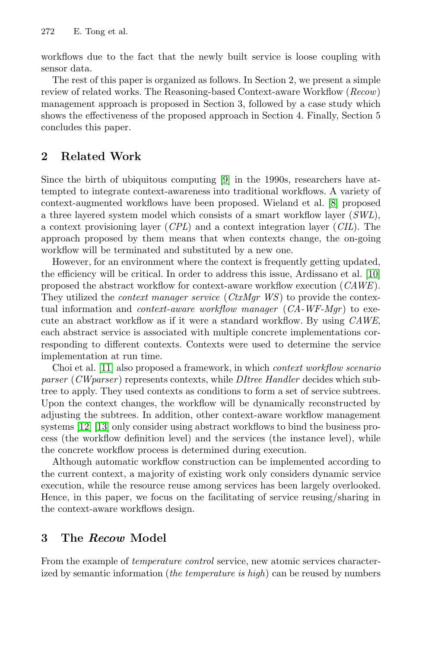workflows due to the fact that the newly built service is loose coupling with sensor data.

The rest of this paper is organized as follows. In Section 2, we present a simple review of related works[.](#page-12-2) [T](#page-12-2)he Reasoning-based Context-aware Workflow (*Recow*) management approach is proposed in Section 3, followed by a case study which shows the effectiveness of the proposed approach [in](#page-12-1) Section 4. Finally, Section 5 concludes this paper.

# **2 Related Work**

Since the birth of ubiquitous computing [9] in the 1990[s, r](#page-12-3)esearchers have attempted to integrate context-awareness into traditional workflows. A variety of context-augmented workflows have been proposed. Wieland et al. [8] proposed a three layered system model which consists of a smart workflow layer (*SWL*), a context provisioning layer (*CPL*) and a context integration layer (*CIL*). The approach proposed by them means that when contexts change, the on-going workflow will be terminated and substituted by a new one.

However, for an environment where the context is frequently getting updated, the efficiency will be critical. In order to address this issue, Ardissano et al. [10] proposed the abstract workflow for context-aware workflow execution (*CAWE*). They utilized the *context manager service* (*CtxMgr WS*) to provide the contextual information and *context-aware workflow manager* (*CA-WF-Mgr* ) to execute an abstract workflow as if it were a standard workflow. By using *CAWE*, each abstract service is associated with multiple concrete implementations corresponding to different contexts. Contexts were used to determine the service implementation at run time.

Choi et al. [11] also proposed a framework, in which *context workflow scenario parser* (*CWparser* ) represents contexts, while *DItree Handler* decides which subtree to apply. They used contexts as conditions to form a set of service subtrees. Upon the context changes, the workflow will be dynamically reconstructed by adjusting the subtrees. In addition, other context-aware workflow management systems [12] [13] only consider using abstract workflows to bind the business process (the workflow definition level) and the services (the instance level), while the concrete workflow process is determined during execution.

Although automatic workflow construction can be implemented according to the current context, a majority of existing work only considers dynamic service execution, while the resource reuse among services has been largely overlooked. Hence, in this paper, we focus on the facilitating of service reusing/sharing in the context-aware workflows design.

# **3 The** *Recow* **Model**

From the example of *temperature control* service, new atomic services characterized by semantic information (*the temperature is high*) can be reused by numbers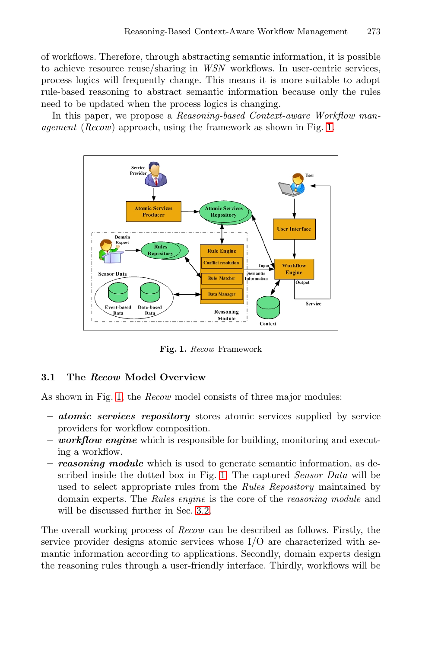of workflows. Therefore, through abstracting semantic information, it is possible to achieve resource reuse/sharing in *WSN* workflows. In user-centric services, process logics will frequently change. This means it is more suitable to adopt rule-based reasoning to abstract semantic information because only the rules need to be updated when the process logics is changing.

In this paper, we propose a *Reasoning-based Context-aware Workflow management* (*Recow*) approach, using the framework as shown in Fig. 1.

<span id="page-3-0"></span>

**Fig. 1.** *Recow* Framework

### **3.1 The** *Recow* **M[od](#page-3-0)el Overview**

As shown in Fig. 1, the *Recow* model consists of three major modules:

- **–** *atomic ser[vice](#page-4-0)s repository* stores atomic services supplied by service providers for workflow composition.
- **–** *workflow engine* which is responsible for building, monitoring and executing a workflow.
- **–** *reasoning module* which is used to generate semantic information, as described inside the dotted box in Fig. 1. The captured *Sensor Data* will be used to select appropriate rules from the *Rules Repository* maintained by domain experts. The *Rules engine* is the core of the *reasoning module* and will be discussed further in Sec. 3.2.

The overall working process of *Recow* can be described as follows. Firstly, the service provider designs atomic services whose I/O are characterized with semantic information according to applications. Secondly, domain experts design the reasoning rules through a user-friendly interface. Thirdly, workflows will be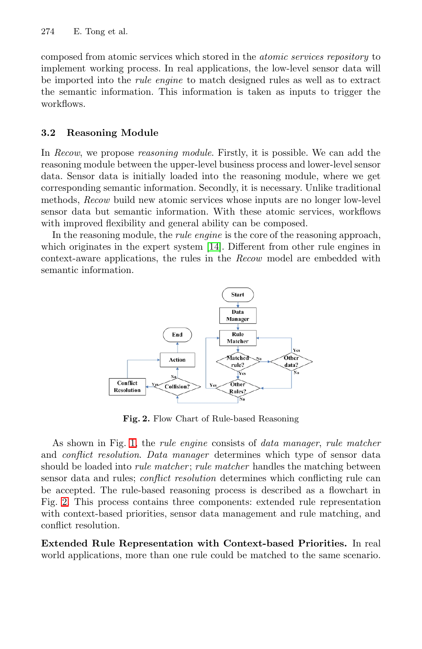<span id="page-4-0"></span>composed from atomic services which stored in the *atomic services repository* to implement working process. In real applications, the low-level sensor data will be imported into the *rule engine* to match designed rules as well as to extract the semantic information. This information is taken as inputs to trigger the workflows.

### **3.2 Reasoning Module**

In *Recow*, we propo[se](#page-12-4) *reasoning module*. Firstly, it is possible. We can add the reasoning module between the upper-level business process and lower-level sensor data. Sensor data is initially loaded into the reasoning module, where we get corresponding semantic information. Secondly, it is necessary. Unlike traditional methods, *Recow* build new atomic services whose inputs are no longer low-level sensor data but semantic information. With these atomic services, workflows with improved flexibility and general ability can be composed.

In the reasoning module, the *rule engine* is the core of the reasoning approach, which originates in the expert system [14]. Different from other rule engines in context-aware applications, the rules in the *Recow* model are embedded with semantic information.



**Fig. 2.** Flow Chart of Rule-based Reasoning

As shown in Fig. 1, the *rule engine* consists of *data manager*, *rule matcher* and *conflict resolution*. *Data manager* determines which type of sensor data should be loaded into *rule matcher* ; *rule matcher* handles the matching between sensor data and rules; *conflict resolution* determines which conflicting rule can be accepted. The rule-based reasoning process is described as a flowchart in Fig. 2. This process contains three components: extended rule representation with context-based priorities, sensor data management and rule matching, and conflict resolution.

**Extended Rule Representation with Context-based Priorities.** In real world applications, more than one rule could be matched to the same scenario.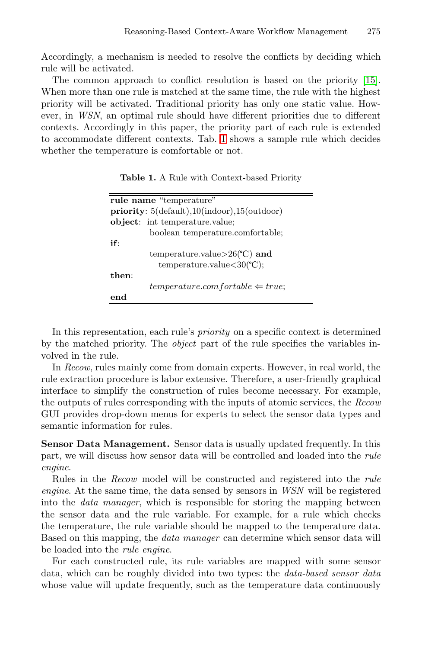<span id="page-5-0"></span>Accordingly, a mecha[nism](#page-5-0) is needed to resolve the conflicts by deciding which rule will be activated.

The common approach to conflict resolution is based on the priority [15]. When more than one rule is matched at the same time, the rule with the highest priority will be activated. Traditional priority has only one static value. However, in *WSN*, an optimal rule should have different priorities due to different contexts. Accordingly in this paper, the priority part of each rule is extended to accommodate different contexts. Tab. 1 shows a sample rule which decides whether the temperature is comfortable or not.

**Table 1.** A Rule with Context-based Priority

| rule name "temperature"                      |  |  |  |  |
|----------------------------------------------|--|--|--|--|
| priority: 5(default),10(indoor),15(outdoor)  |  |  |  |  |
| object: int temperature.value:               |  |  |  |  |
| boolean temperature.comfortable;             |  |  |  |  |
| i۴۰                                          |  |  |  |  |
| temperature.value $>26$ (°C) and             |  |  |  |  |
| $temperature.value < 30$ (°C);               |  |  |  |  |
| then:                                        |  |  |  |  |
| $temperature.com for table \Leftarrow true;$ |  |  |  |  |
|                                              |  |  |  |  |

In this representation, each rule's *priority* on a specific context is determined by the matched priority. The *object* part of the rule specifies the variables involved in the rule.

In *Recow*, rules mainly come from domain experts. However, in real world, the rule extraction procedure is labor extensive. Therefore, a user-friendly graphical interface to simplify the construction of rules become necessary. For example, the outputs of rules corresponding with the inputs of atomic services, the *Recow* GUI provides drop-down menus for experts to select the sensor data types and semantic information for rules.

**Sensor Data Management.** Sensor data is usually updated frequently. In this part, we will discuss how sensor data will be controlled and loaded into the *rule engine*.

Rules in the *Recow* model will be constructed and registered into the *rule engine*. At the same time, the data sensed by sensors in *WSN* will be registered into the *data manager*, which is responsible for storing the mapping between the sensor data and the rule variable. For example, for a rule which checks the temperature, the rule variable should be mapped to the temperature data. Based on this mapping, the *data manager* can determine which sensor data will be loaded into the *rule engine*.

For each constructed rule, its rule variables are mapped with some sensor data, which can be roughly divided into two types: the *data-based sensor data* whose value will update frequently, such as the temperature data continuously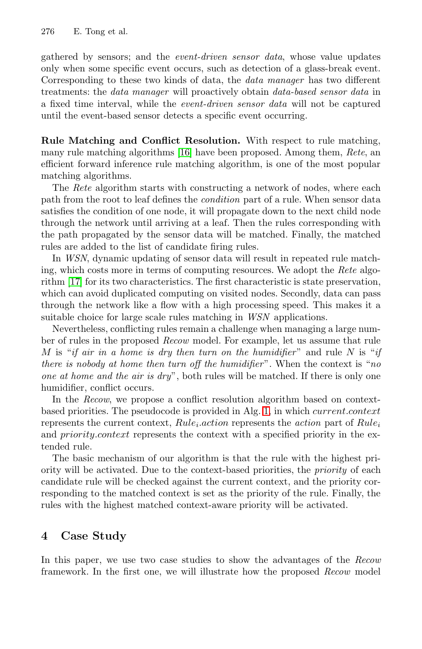gathered by [sen](#page-12-5)sors; and the *event-driven sensor data*, whose value updates only when some specific event occurs, such as detection of a glass-break event. Corresponding to these two kinds of data, the *data manager* has two different treatments: the *data manager* will proactively obtain *data-based sensor data* in a fixed time interval, while the *event-driven sensor data* will not be captured until the event-based sensor detects a specific event occurring.

**Rule Matching and Conflict Resolution.** With respect to rule matching, many rule matching algorithms [16] have been proposed. Among them, *Rete*, an efficient forward inference rule matching algorithm, is one of the most popular matching algorithms.

The *Rete* algorithm starts with constructing a network of nodes, where each path from the root to leaf defines the *condition* part of a rule. When sensor data satisfies the condition of one node, it will propagate down to the next child node through the network until arriving at a leaf. Then the rules corresponding with the path propagated by the sensor data will be matched. Finally, the matched rules are added to the list of candidate firing rules.

In *WSN*, dynamic updating of sensor data will result in repeated rule matching, which costs more in terms of computing resources. We adopt the *Rete* algorithm [17] for its two characteristics. The first characteristic is state preservation, which can avoid duplicated computing on visited nodes. Secondly, data can pass through the network like a flow with a high processing speed. This makes it a suitable choice for large scale rul[es](#page-7-0) matching in *WSN* applications.

Nevertheless, conflicting rules remain a challenge when managing a large number of rules in the proposed *Recow* model. For example, let us assume that rule *M* is "*if air in a home is dry then turn on the humidifier*" and rule *N* is "*if there is nobody at home then turn off the humidifier*". When the context is "*no one at home and the air is dry*", both rules will be matched. If there is only one humidifier, conflict occurs.

In the *Recow*, we propose a conflict resolution algorithm based on contextbased priorities. The pseudocode is provided in Alg. 1, in which *current.context* represents the current context, *Rule<sup>i</sup>.action* represents the *action* part of *Rule<sup>i</sup>* and *priority.context* represents the context with a specified priority in the extended rule.

The basic mechanism of our algorithm is that the rule with the highest priority will be activated. Due to the context-based priorities, the *priority* of each candidate rule will be checked against the current context, and the priority corresponding to the matched context is set as the priority of the rule. Finally, the rules with the highest matched context-aware priority will be activated.

### **4 Case Study**

In this paper, we use two case studies to show the advantages of the *Recow* framework. In the first one, we will illustrate how the proposed *Recow* model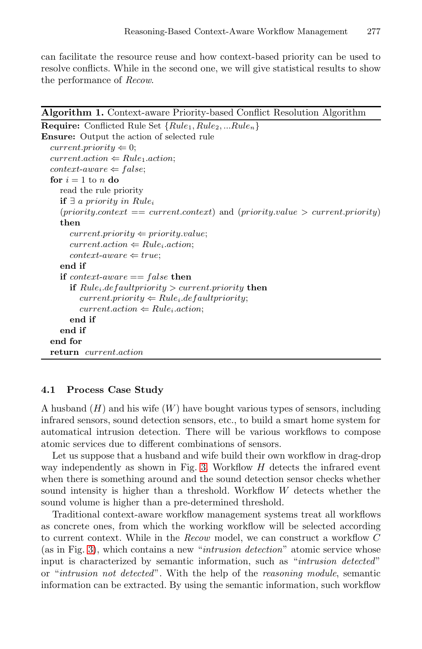<span id="page-7-0"></span>can facilitate the resource reuse and how context-based priority can be used to resolve conflicts. While in the second one, we will give statistical results to show the performance of *Recow*.

**Algorithm 1.** Context-aware Priority-based Conflict Resolution Algorithm

| <b>Require:</b> Conflicted Rule Set ${Rule_1, Rule_2,  Rule_n}$                   |
|-----------------------------------------------------------------------------------|
| <b>Ensure:</b> Output the action of selected rule                                 |
| $current: priority \Leftarrow 0;$                                                 |
| $current. action \Leftarrow Rule_1. action;$                                      |
| $context\text{-}average \Leftarrow false;$                                        |
| for $i=1$ to n do                                                                 |
| read the rule priority                                                            |
| <b>if</b> $\exists$ a priority in Rule <sub>i</sub>                               |
| $(priority.context == current.context)$ and $(priority.value > current.priority)$ |
| then                                                                              |
| $current: priority \Leftarrow priority.value;$                                    |
| $current. action \Leftarrow Rule_i. action;$                                      |
| $context\text{-}average \Leftarrow true;$                                         |
| end if                                                                            |
| if context-aware $==$ false then                                                  |
| <b>if</b> $Rule_i.defaultpriority > current.printy$ then                          |
| $current: priority \leftarrow Rule_i.defaultpriority;$                            |
| $current. action \Leftarrow Rule_i. action;$                                      |
| end if                                                                            |
| end if                                                                            |
| end for                                                                           |
| return <i>current.action</i>                                                      |

### **4.1 Process Case Study**

A husband (*H*) and his wife (*W*) have bought various types of sensors, including infrared sensors, sound detection sensors, etc., to build a smart home system for automatical intrusion detection. There will be various workflows to compose atomic services due to different combinations of sensors.

Let us suppose that a husband and wife build their own workflow in drag-drop way independently as shown in Fig. 3. Workflow *H* detects the infrared event when there is something around and the sound detection sensor checks whether sound intensity is higher than a threshold. Workflow *W* detects whether the sound volume is higher than a pre-determined threshold.

Traditional context-aware workflow management systems treat all workflows as concrete ones, from which the working workflow will be selected according to current context. While in the *Recow* model, we can construct a workflow *C* (as in Fig. 3), which contains a new "*intrusion detection*" atomic service whose input is characterized by semantic information, such as "*intrusion detected*" or "*intrusion not detected*". With the help of the *reasoning module*, semantic information can be extracted. By using the semantic information, such workflow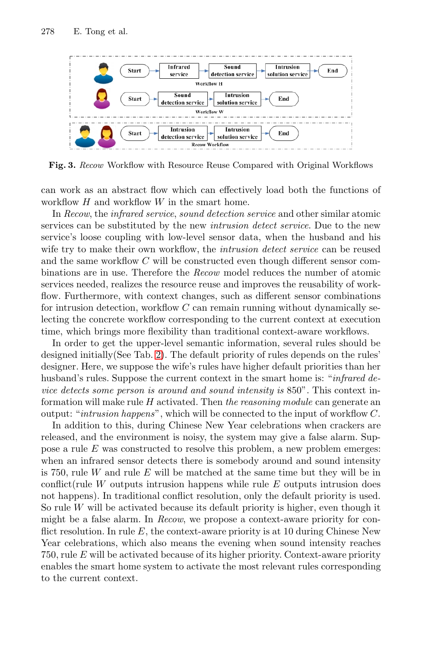

**Fig. 3.** *Recow* Workflow with Resource Reuse Compared with Original Workflows

can work as an abstract flow which can effectively load both the functions of workflow *H* and workflow *W* in the smart home.

In *Recow*, the *infrared service*, *sound detection service* and other similar atomic services can be substituted by the new *intrusion detect service*. Due to the new service's loose coupling with low-level sensor data, when the husband and his wife try to make their own workflow, the *intrusion detect service* can be reused and the [sa](#page-9-0)me workflow *C* will be constructed even though different sensor combinations are in use. Therefore the *Recow* model reduces the number of atomic services needed, realizes the resource reuse and improves the reusability of workflow. Furthermore, with context changes, such as different sensor combinations for intrusion detection, workflow *C* can remain running without dynamically selecting the concrete workflow corresponding to the current context at execution time, which brings more flexibility than traditional context-aware workflows.

In order to get the upper-level semantic information, several rules should be designed initially(See Tab. 2). The default priority of rules depends on the rules' designer. Here, we suppose the wife's rules have higher default priorities than her husband's rules. Suppose the current context in the smart home is: "*infrared device detects some person is around and sound intensity is* 850". This context information will make rule *H* activated. Then *the reasoning module* can generate an output: "*intrusion happens*", which will be connected to the input of workflow *C*.

In addition to this, during Chinese New Year celebrations when crackers are released, and the environment is noisy, the system may give a false alarm. Suppose a rule *E* was constructed to resolve this problem, a new problem emerges: when an infrared sensor detects there is somebody around and sound intensity is 750, rule *W* and rule *E* will be matched at the same time but they will be in conflict(rule *W* outputs intrusion happens while rule *E* outputs intrusion does not happens). In traditional conflict resolution, only the default priority is used. So rule *W* will be activated because its default priority is higher, even though it might be a false alarm. In *Recow*, we propose a context-aware priority for conflict resolution. In rule  $E$ , the context-aware priority is at 10 during Chinese New Year celebrations, which also means the evening when sound intensity reaches 750, rule *E* will be activated because of its higher priority. Context-aware priority enables the smart home system to activate the most relevant rules corresponding to the current context.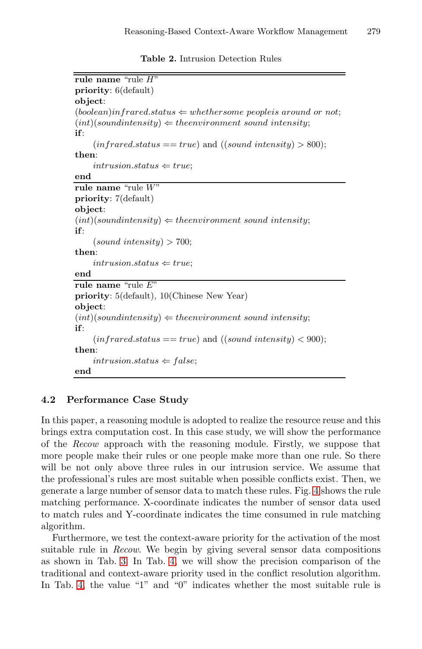**Table 2.** Intrusion Detection Rules

```
rule name "rule H"
priority: 6(default)
object:
(boolean)infrared.status \Leftarrow whethersome peopleis around or not;
(int)(sound intensity) \Leftarrow the environment sound intensity;if:
    (infrared status == true) and ((sound intensity) > 800);
then:
    intrusion. status \Leftarrow true;end
rule name "rule W"
priority: 7(default)
object:
(int)(sound intensity) \Leftarrow the environment sound intensity;if:
    (sound intensity) > 700;then:
    intrinsic. status \Leftarrow trueend
rule name "rule E"
priority: 5(default), 10(Chinese New Year)
object:
(int)(sound intensity) \Leftarrow the environment sound intensity;if:
     (infrared status == true) and ((sound intensity) < 900);then:
    intrinsic. status \Leftarrow false;end
```
### **4.2 Performance Case Study**

In this paper, a reasoning module is adopted to realize the resource reuse and this brings extra computation cost. In this case study, we will show the performance of the *Recow* approach with the reasoning module. Firstly, we suppose that more people make their rules or one people make more than one rule. So there [w](#page-10-0)ill be no[t](#page-10-1) only above three rules in our intrusion service. We assume that the professional's rules are most suitable when possible conflicts exist. Then, we generate a large number of sensor data to match these rules. Fig. 4 shows the rule matching performance. X-coordinate indicates the number of sensor data used to match rules and Y-coordinate indicates the time consumed in rule matching algorithm.

Furthermore, we test the context-aware priority for the activation of the most suitable rule in *Recow*. We begin by giving several sensor data compositions as shown in Tab. 3. In Tab. 4, we will show the precision comparison of the traditional and context-aware priority used in the conflict resolution algorithm. In Tab. 4, the value "1" and "0" indicates whether the most suitable rule is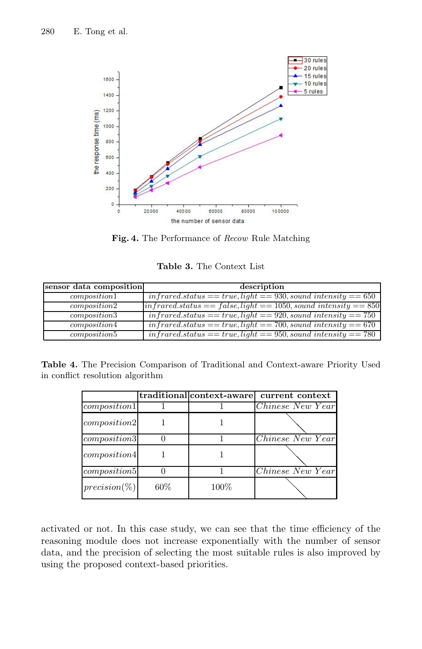

<span id="page-10-1"></span><span id="page-10-0"></span>**Fig. 4.** The Performance of *Recow* Rule Matching

**Table 3.** The Context List

| sensor data composition | description                                                           |  |  |
|-------------------------|-----------------------------------------------------------------------|--|--|
| composition1            | $infrared status == true, light == 930, sound intensity == 650$       |  |  |
| composition2            | $infrared\: status == false, light == 1050, sound\; intensity == 850$ |  |  |
| composition3            | $infrared status == true, light == 920, sound intensity == 750$       |  |  |
| composition4            | $infrared status == true, light == 700, sound intensity == 670$       |  |  |
| composition5            | $infrared status == true, light == 950, sound intensity == 780$       |  |  |

**Table 4.** The Precision Comparison of Traditional and Context-aware Priority Used in conflict resolution algorithm

|                 |     |      | traditional context-aware current context |
|-----------------|-----|------|-------------------------------------------|
| composition1    |     |      | Chinese New Year                          |
| composition2    |     |      |                                           |
| composition3    |     |      | Chinese New Year                          |
| composition4    |     |      |                                           |
| composition5    |     |      | Chinese New Year                          |
| $precision(\%)$ | 60% | 100% |                                           |

activated or not. In this case study, we can see that the time efficiency of the reasoning module does not increase exponentially with the number of sensor data, and the precision of selecting the most suitable rules is also improved by using the proposed context-based priorities.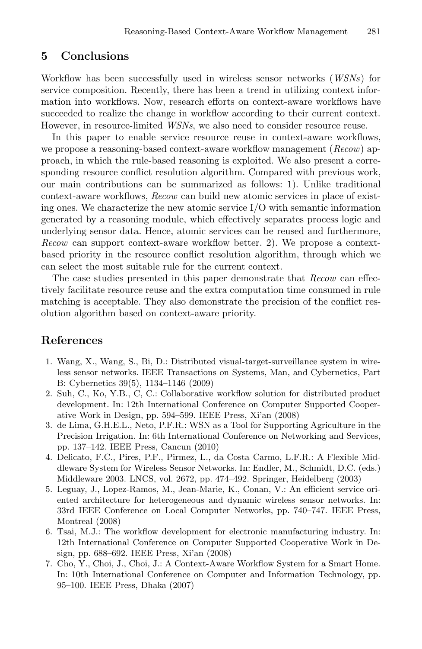## **5 Conclusions**

Workflow has been successfully used in wireless sensor networks (*WSNs*) for service composition. Recently, there has been a trend in utilizing context information into workflows. Now, research efforts on context-aware workflows have succeeded to realize the change in workflow according to their current context. However, in resource-limited *WSNs*, we also need to consider resource reuse.

In this paper to enable service resource reuse in context-aware workflows, we propose a reasoning-based context-aware workflow management (*Recow*) approach, in which the rule-based reasoning is exploited. We also present a corresponding resource conflict resolution algorithm. Compared with previous work, our main contributions can be summarized as follows: 1). Unlike traditional context-aware workflows, *Recow* can build new atomic services in place of existing ones. We characterize the new atomic service  $I/O$  with semantic information generated by a reasoning module, which effectively separates process logic and underlying sensor data. Hence, atomic services can be reused and furthermore, *Recow* can support context-aware workflow better. 2). We propose a contextbased priority in the resource conflict resolution algorithm, through which we can select the most suitable rule for the current context.

The case studies presented in this paper demonstrate that *Recow* can effectively facilitate resource reuse and the extra computation time consumed in rule matching is acceptable. They also demonstrate the precision of the conflict resolution algorithm based on context-aware priority.

# **References**

- 1. Wang, X., Wang, S., Bi, D.: Distributed visual-target-surveillance system in wireless sensor networks. IEEE Transactions on Systems, Man, and Cybernetics, Part B: Cybernetics 39(5), 1134–1146 (2009)
- 2. Suh, C., Ko, Y.B., C, C.: Collaborative workflow solution for distributed product development. In: 12th International Conference on Computer Supported Cooperative Work in Design, pp. 594–599. IEEE Press, Xi'an (2008)
- <span id="page-11-0"></span>3. de Lima, G.H.E.L., Neto, P.F.R.: WSN as a Tool for Supporting Agriculture in the Precision Irrigation. In: 6th International Conference on Networking and Services, pp. 137–142. IEEE Press, Cancun (2010)
- <span id="page-11-1"></span>4. Delicato, F.C., Pires, P.F., Pirmez, L., da Costa Carmo, L.F.R.: A Flexible Middleware System for Wireless Sensor Networks. In: Endler, M., Schmidt, D.C. (eds.) Middleware 2003. LNCS, vol. 2672, pp. 474–492. Springer, Heidelberg (2003)
- 5. Leguay, J., Lopez-Ramos, M., Jean-Marie, K., Conan, V.: An efficient service oriented architecture for heterogeneous and dynamic wireless sensor networks. In: 33rd IEEE Conference on Local Computer Networks, pp. 740–747. IEEE Press, Montreal (2008)
- 6. Tsai, M.J.: The workflow development for electronic manufacturing industry. In: 12th International Conference on Computer Supported Cooperative Work in Design, pp. 688–692. IEEE Press, Xi'an (2008)
- 7. Cho, Y., Choi, J., Choi, J.: A Context-Aware Workflow System for a Smart Home. In: 10th International Conference on Computer and Information Technology, pp. 95–100. IEEE Press, Dhaka (2007)